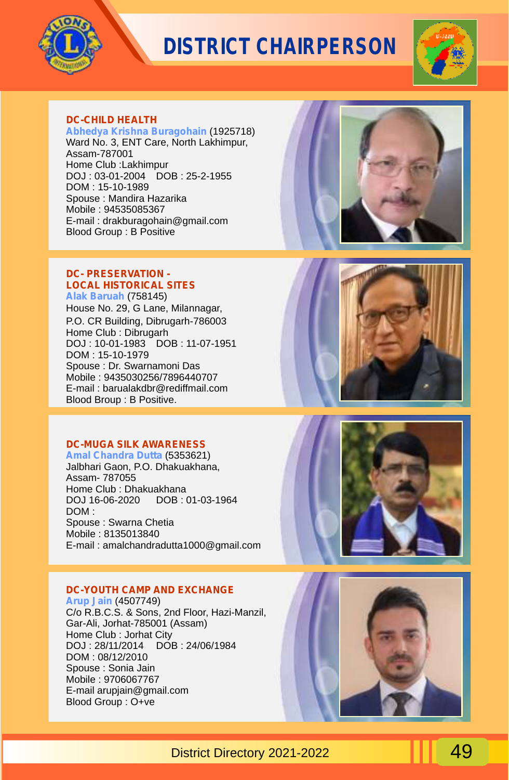



#### **DC-CHILD HEALTH**

**Abhedya Krishna Buragohain** (1925718) Ward No. 3, ENT Care, North Lakhimpur, Assam-787001 Home Club :Lakhimpur DOJ : 03-01-2004 DOB : 25-2-1955 DOM : 15-10-1989 Spouse : Mandira Hazarika Mobile : 94535085367 E-mail : drakburagohain@gmail.com Blood Group : B Positive

#### **DC- PRESERVATION - LOCAL HISTORICAL SITES**

**Alak Baruah**  (758145) House No. 29, G Lane, Milannagar, P.O. CR Building, Dibrugarh-786003 Home Club : Dibrugarh DOJ : 10-01-1983 DOB : 11-07-1951 DOM : 15-10-1979 Spouse : Dr. Swarnamoni Das Mobile : 9435030256/7896440707 E-mail : barualakdbr@rediffmail.com Blood Broup : B Positive.

#### **DC-MUGA SILK AWARENESS**

**Amal Chandra Dutta** (5353621) Jalbhari Gaon, P.O. Dhakuakhana, Assam- 787055 Home Club : Dhakuakhana DOJ 16-06-2020 DOB : 01-03-1964 DOM : Spouse : Swarna Chetia Mobile : 8135013840 E-mail : amalchandradutta1000@gmail.com

#### **DC-YOUTH CAMP AND EXCHANGE**

**Arup Jain** (4507749) C/o R.B.C.S. & Sons, 2nd Floor, Hazi-Manzil, Gar-Ali, Jorhat-785001 (Assam) Home Club : Jorhat City DOJ: 28/11/2014 DOM : 08/12/2010 Spouse : Sonia Jain Mobile : 9706067767 E-mail arupjain@gmail.com Blood Group : O+ve





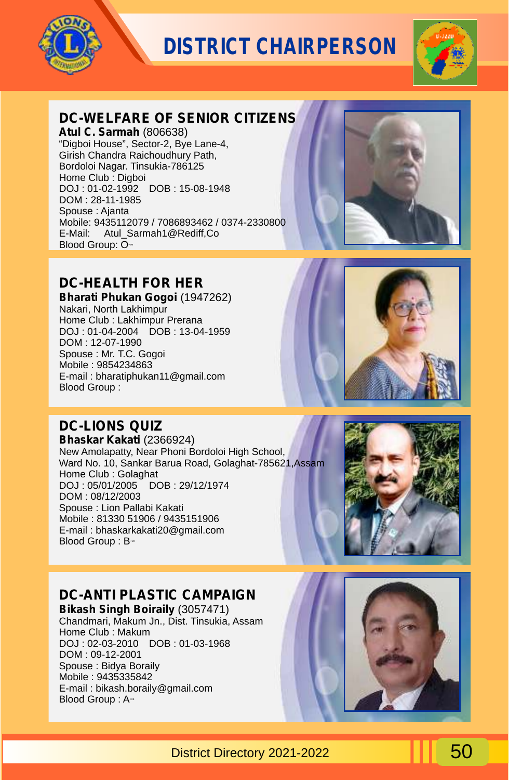



### **DC-WELFARE OF SENIOR CITIZENS**

**Atul C. Sarmah** (806638) "Digboi House", Sector-2, Bye Lane-4, Girish Chandra Raichoudhury Path, Bordoloi Nagar. Tinsukia-786125 Home Club : Digboi DOJ : 01-02-1992 DOB : 15-08-1948 DOM : 28-11-1985 Spouse : Ajanta Mobile: 9435112079 / 7086893462 / 0374-2330800 E-Mail: Atul\_Sarmah1@Rediff,Co Blood Group:  $O<sub>xx</sub>$ 

### **DC-HEALTH FOR HER**

**Bharati Phukan Gogoi** (1947262) Nakari, North Lakhimpur Home Club : Lakhimpur Prerana DOJ : 01-04-2004 DOB : 13-04-1959 DOM : 12-07-1990 Spouse : Mr. T.C. Gogoi Mobile : 9854234863 E-mail : bharatiphukan11@gmail.com Blood Group :

### **DC-LIONS QUIZ**

**Bhaskar Kakati** (2366924) New Amolapatty, Near Phoni Bordoloi High School, Ward No. 10, Sankar Barua Road, Golaghat-785621,Assam Home Club : Golaghat DOJ : 05/01/2005 DOB : 29/12/1974 DOM : 08/12/2003 Spouse : Lion Pallabi Kakati Mobile : 81330 51906 / 9435151906 E-mail : bhaskarkakati20@gmail.com Blood Group: B<sup>++</sup>



### **DC-ANTI PLASTIC CAMPAIGN**

**Bikash Singh Boiraily** (3057471) Chandmari, Makum Jn., Dist. Tinsukia, Assam Home Club : Makum DOJ : 02-03-2010 DOB : 01-03-1968 DOM : 09-12-2001 Spouse : Bidya Boraily Mobile : 9435335842 E-mail : bikash.boraily@gmail.com Blood Group: A-ve



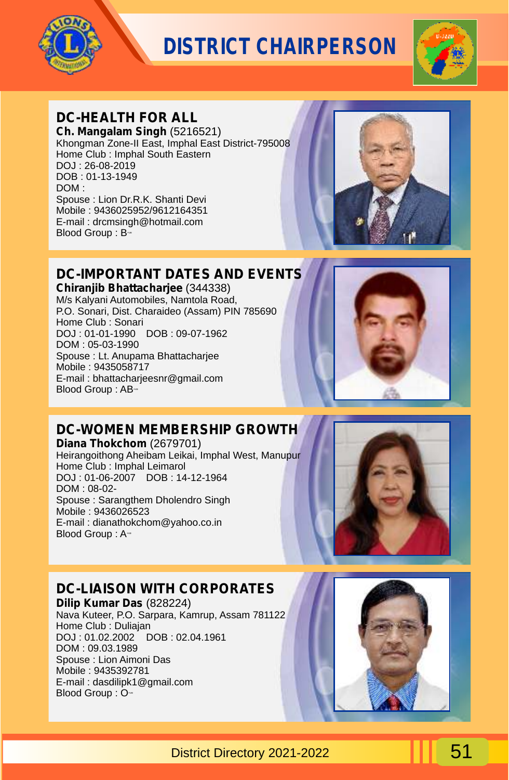



### **DC-HEALTH FOR ALL**

**Ch. Mangalam Singh** (5216521) Khongman Zone-II East, Imphal East District-795008 Home Club : Imphal South Eastern DOJ : 26-08-2019 DOB : 01-13-1949 DOM : Spouse : Lion Dr.R.K. Shanti Devi Mobile : 9436025952/9612164351 E-mail : drcmsingh@hotmail.com Blood Group:  $B - v$ 



## **DC-IMPORTANT DATES AND EVENTS**

**Chiranjib Bhattacharjee** (344338) M/s Kalyani Automobiles, Namtola Road, P.O. Sonari, Dist. Charaideo (Assam) PIN 785690 Home Club : Sonari DOJ : 01-01-1990 DOB : 09-07-1962 DOM : 05-03-1990 Spouse : Lt. Anupama Bhattacharjee Mobile : 9435058717 E-mail : bhattacharjeesnr@gmail.com Blood Group: AB-



## **DC-WOMEN MEMBERSHIP GROWTH**

**Diana Thokchom** (2679701) Heirangoithong Aheibam Leikai, Imphal West, Manupur Home Club : Imphal Leimarol DOJ : 01-06-2007 DOB : 14-12-1964 DOM : 08-02- Spouse : Sarangthem Dholendro Singh Mobile : 9436026523 E-mail : dianathokchom@yahoo.co.in Blood Group : A<sup>-1</sup>



## **DC-LIAISON WITH CORPORATES**

**Dilip Kumar Das** (828224) Nava Kuteer, P.O. Sarpara, Kamrup, Assam 781122 Home Club : Duliajan DOJ : 01.02.2002 DOB : 02.04.1961 DOM : 09.03.1989 Spouse : Lion Aimoni Das Mobile : 9435392781 E-mail : dasdilipk1@gmail.com Blood Group :  $O -$ 

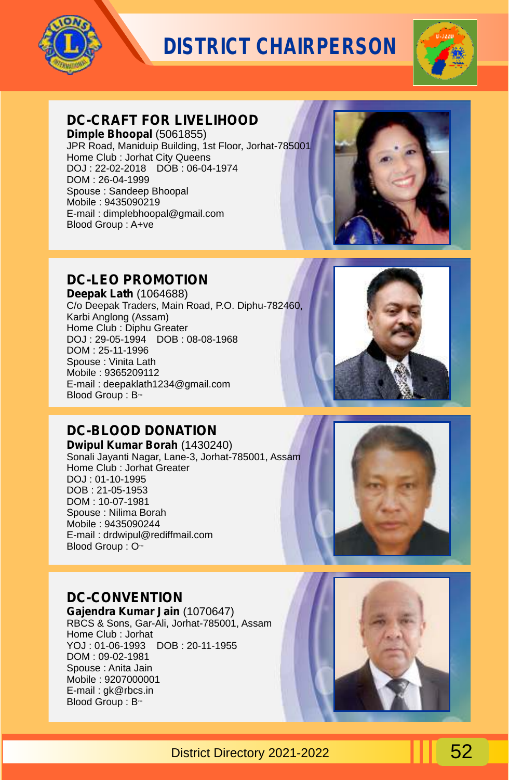



## **DC-CRAFT FOR LIVELIHOOD**

**Dimple Bhoopal** (5061855) JPR Road, Maniduip Building, 1st Floor, Jorhat-785001 Home Club : Jorhat City Queens DOJ : 22-02-2018 DOB : 06-04-1974 DOM : 26-04-1999 Spouse : Sandeep Bhoopal Mobile : 9435090219 E-mail : dimplebhoopal@gmail.com Blood Group : A+ve



## **DC-LEO PROMOTION**

**Deepak Lath** (1064688) C/o Deepak Traders, Main Road, P.O. Diphu-782460, Karbi Anglong (Assam) Home Club : Diphu Greater DOJ : 29-05-1994 DOB : 08-08-1968 DOM : 25-11-1996 Spouse : Vinita Lath Mobile : 9365209112 E-mail : deepaklath1234@gmail.com Blood Group: B-ve



## **DC-BLOOD DONATION**

**Dwipul Kumar Borah** (1430240) Sonali Jayanti Nagar, Lane-3, Jorhat-785001, Assam Home Club : Jorhat Greater DOJ : 01-10-1995 DOB : 21-05-1953 DOM : 10-07-1981 Spouse : Nilima Borah Mobile : 9435090244 E-mail : drdwipul@rediffmail.com Blood Group : O-

### **DC-CONVENTION**

**Gajendra Kumar Jain** (1070647) RBCS & Sons, Gar-Ali, Jorhat-785001, Assam Home Club : Jorhat YOJ : 01-06-1993 DOB : 20-11-1955 DOM : 09-02-1981 Spouse : Anita Jain Mobile : 9207000001 E-mail : gk@rbcs.in Blood Group: B-ve



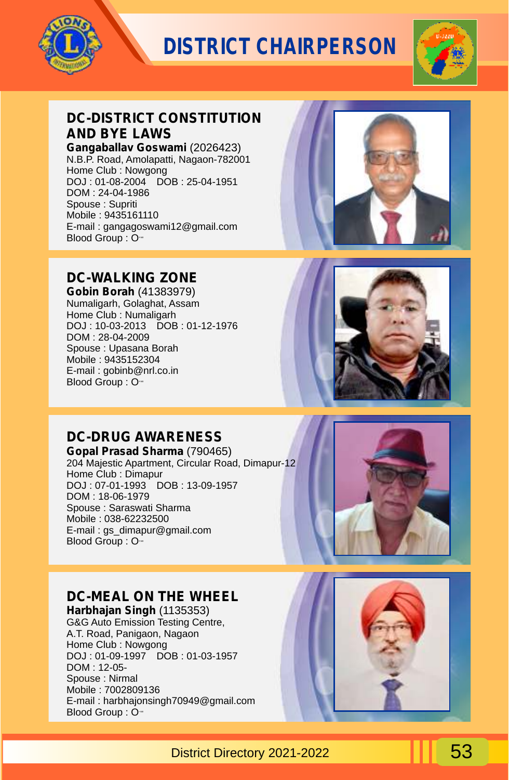



## **DC-DISTRICT CONSTITUTION AND BYE LAWS**

**Gangaballav Goswami** (2026423) N.B.P. Road, Amolapatti, Nagaon-782001 Home Club : Nowgong DOJ : 01-08-2004 DOB : 25-04-1951 DOM : 24-04-1986 Spouse : Supriti Mobile : 9435161110 E-mail : gangagoswami12@gmail.com Blood Group: O-

### **DC-WALKING ZONE**

**Gobin Borah** (41383979) Numaligarh, Golaghat, Assam Home Club : Numaligarh DOJ : 10-03-2013 DOB : 01-12-1976 DOM : 28-04-2009 Spouse : Upasana Borah Mobile : 9435152304 E-mail : gobinb@nrl.co.in Blood Group : O-





## **DC-DRUG AWARENESS**

**Gopal Prasad Sharma** (790465) 204 Majestic Apartment, Circular Road, Dimapur-12 Home Club : Dimapur DOJ : 07-01-1993 DOB : 13-09-1957 DOM : 18-06-1979 Spouse : Saraswati Sharma Mobile : 038-62232500 E-mail : gs\_dimapur@gmail.com Blood Group : O-



### **DC-MEAL ON THE WHEEL**

**Harbhajan Singh** (1135353) G&G Auto Emission Testing Centre, A.T. Road, Panigaon, Nagaon Home Club : Nowgong DOJ : 01-09-1997 DOB : 01-03-1957 DOM : 12-05- Spouse : Nirmal Mobile : 7002809136 E-mail : harbhajonsingh70949@gmail.com Blood Group :  $O<sub>1</sub>$ 

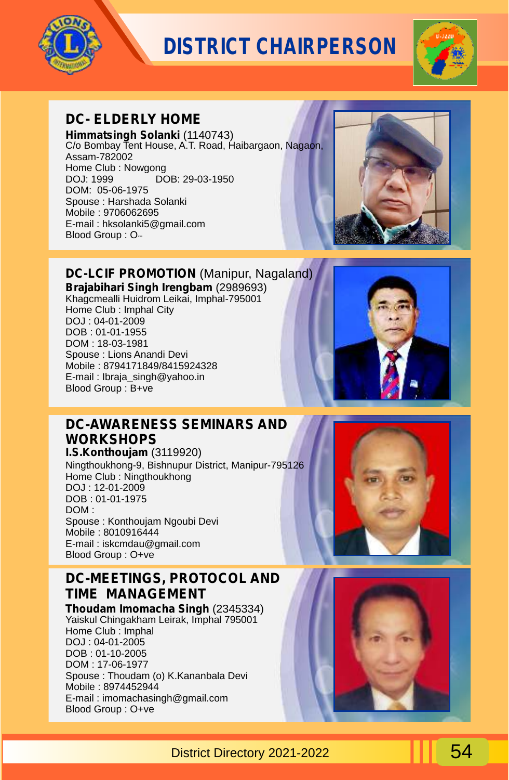



## **DC- ELDERLY HOME**

**Himmatsingh Solanki** (1140743) C/o Bombay Tent House, A.T. Road, Haibargaon, Nagaon, Assam-782002 Home Club : Nowgong<br>DOJ: 1999 DO DOB: 29-03-1950 DOM: 05-06-1975 Spouse : Harshada Solanki Mobile : 9706062695 E-mail : hksolanki5@gmail.com  $B$ lood Group :  $O_{\nu}$ 



**DC-LCIF PROMOTION** (Manipur, Nagaland) **Brajabihari Singh Irengbam** (2989693) Khagcmealli Huidrom Leikai, Imphal-795001 Home Club : Imphal City DOJ : 04-01-2009

DOB : 01-01-1955 DOM : 18-03-1981 Spouse : Lions Anandi Devi Mobile : 8794171849/8415924328 E-mail : Ibraja\_singh@yahoo.in Blood Group : B+ve



### **DC-AWARENESS SEMINARS AND WORKSHOPS I.S.Konthoujam** (3119920)

Ningthoukhong-9, Bishnupur District, Manipur-795126 Home Club : Ningthoukhong DOJ : 12-01-2009 DOB : 01-01-1975 DOM : Spouse : Konthoujam Ngoubi Devi Mobile : 8010916444 E-mail : iskcmdau@gmail.com Blood Group : O+ve

### **DC-MEETINGS, PROTOCOL AND TIME MANAGEMENT**

**Thoudam Imomacha Singh** (2345334) Yaiskul Chingakham Leirak, Imphal 795001 Home Club : Imphal DOJ : 04-01-2005 DOB : 01-10-2005 DOM : 17-06-1977 Spouse : Thoudam (o) K.Kananbala Devi Mobile : 8974452944 E-mail : imomachasingh@gmail.com Blood Group : O+ve



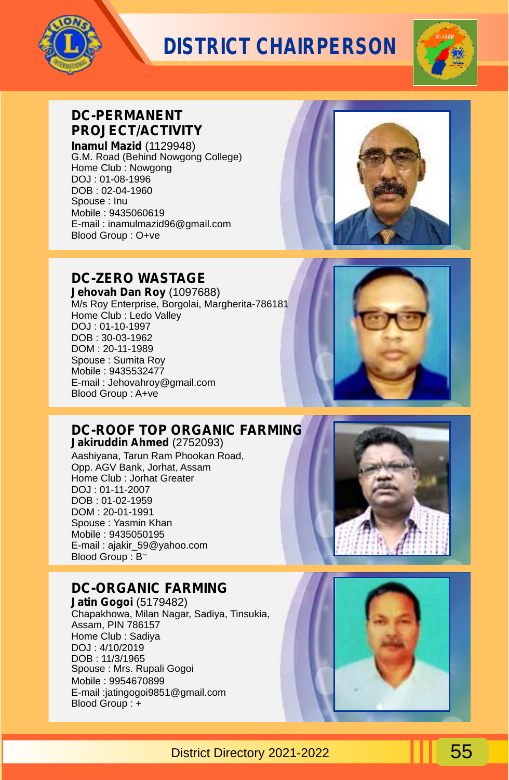



## **DC-PERMANENT PROJECT/ACTIVITY**

**Inamul Mazid** (1129948) G.M. Road (Behind Nowgong College) Home Club : Nowgong DOJ : 01-08-1996 DOB : 02-04-1960 Spouse : Inu Mobile : 9435060619 E-mail : inamulmazid96@gmail.com Blood Group : O+ve



### **DC-ZERO WASTAGE**

**Jehovah Dan Roy** (1097688) M/s Roy Enterprise, Borgolai, Margherita-786181 Home Club : Ledo Valley DOJ : 01-10-1997 DOB : 30-03-1962 DOM : 20-11-1989 Spouse : Sumita Roy Mobile : 9435532477 E-mail : Jehovahroy@gmail.com Blood Group : A+ve



### **DC-ROOF TOP ORGANIC FARMING**

**Jakiruddin Ahmed** (2752093) Aashiyana, Tarun Ram Phookan Road, Opp. AGV Bank, Jorhat, Assam Home Club : Jorhat Greater DOJ : 01-11-2007 DOB : 01-02-1959 DOM : 20-01-1991 Spouse : Yasmin Khan Mobile : 9435050195 E-mail : ajakir\_59@yahoo.com Blood Group : B<sup>-+</sup>

### **DC-ORGANIC FARMING**

**Jatin Gogoi** (5179482) Chapakhowa, Milan Nagar, Sadiya, Tinsukia, Assam, PIN 786157 Home Club : Sadiya DOJ : 4/10/2019 DOB : 11/3/1965 Spouse : Mrs. Rupali Gogoi Mobile : 9954670899 E-mail :jatingogoi9851@gmail.com Blood Group : +



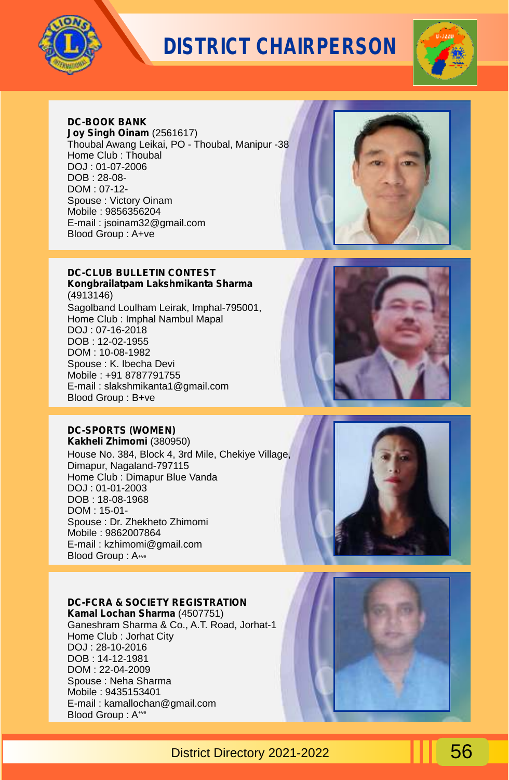



#### **DC-BOOK BANK**

**Joy Singh Oinam** (2561617) Thoubal Awang Leikai, PO - Thoubal, Manipur -38 Home Club : Thoubal DOJ : 01-07-2006 DOB : 28-08- DOM : 07-12- Spouse : Victory Oinam Mobile : 9856356204 E-mail : jsoinam32@gmail.com Blood Group : A+ve



#### **DC-CLUB BULLETIN CONTEST Kongbrailatpam Lakshmikanta Sharma**

(4913146) Sagolband Loulham Leirak, Imphal-795001, Home Club : Imphal Nambul Mapal DOJ : 07-16-2018 DOB : 12-02-1955 DOM : 10-08-1982 Spouse : K. Ibecha Devi Mobile : +91 8787791755 E-mail : slakshmikanta1@gmail.com Blood Group : B+ve

## **DC-SPORTS (WOMEN)**

**Kakheli Zhimomi** (380950) House No. 384, Block 4, 3rd Mile, Chekiye Village, Dimapur, Nagaland-797115 Home Club : Dimapur Blue Vanda DOJ : 01-01-2003 DOB : 18-08-1968 DOM : 15-01- Spouse : Dr. Zhekheto Zhimomi Mobile : 9862007864 E-mail : kzhimomi@gmail.com Blood Group : A+ve

#### **DC-FCRA & SOCIETY REGISTRATION**

**Kamal Lochan Sharma** (4507751) Ganeshram Sharma & Co., A.T. Road, Jorhat-1 Home Club : Jorhat City DOJ : 28-10-2016 DOB : 14-12-1981 DOM : 22-04-2009 Spouse : Neha Sharma Mobile : 9435153401 E-mail : kamallochan@gmail.com Blood Group: A<sup>+ve</sup>





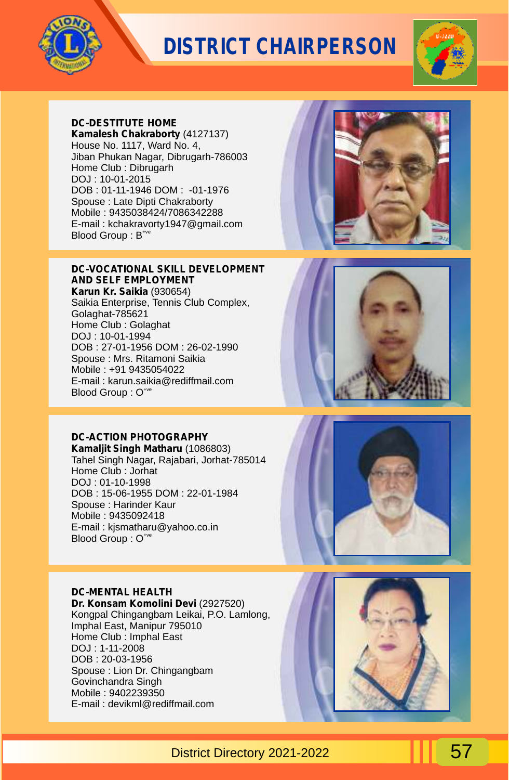



#### **DC-DESTITUTE HOME**

**Kamalesh Chakraborty** (4127137) House No. 1117, Ward No. 4, Jiban Phukan Nagar, Dibrugarh-786003 Home Club : Dibrugarh DOJ : 10-01-2015 DOB : 01-11-1946 DOM : -01-1976 Spouse : Late Dipti Chakraborty Mobile : 9435038424/7086342288 E-mail : kchakravorty1947@gmail.com Blood Group: B<sup>+ve</sup>

#### **DC-VOCATIONAL SKILL DEVELOPMENT AND SELF EMPLOYMENT**

**Karun Kr. Saikia** (930654) Saikia Enterprise, Tennis Club Complex, Golaghat-785621 Home Club : Golaghat DOJ : 10-01-1994 DOB : 27-01-1956 DOM : 26-02-1990 Spouse : Mrs. Ritamoni Saikia Mobile : +91 9435054022 E-mail : karun.saikia@rediffmail.com Blood Group : O<sup>+ve</sup>

### **DC-ACTION PHOTOGRAPHY**

**Kamaljit Singh Matharu** (1086803) Tahel Singh Nagar, Rajabari, Jorhat-785014 Home Club : Jorhat DOJ : 01-10-1998 DOB : 15-06-1955 DOM : 22-01-1984 Spouse : Harinder Kaur Mobile : 9435092418 E-mail : kjsmatharu@yahoo.co.in Blood Group : O<sup>+ve</sup>

#### **DC-MENTAL HEALTH**

**Dr. Konsam Komolini Devi** (2927520) Kongpal Chingangbam Leikai, P.O. Lamlong, Imphal East, Manipur 795010 Home Club : Imphal East DOJ : 1-11-2008 DOB : 20-03-1956 Spouse : Lion Dr. Chingangbam Govinchandra Singh Mobile : 9402239350 E-mail : devikml@rediffmail.com





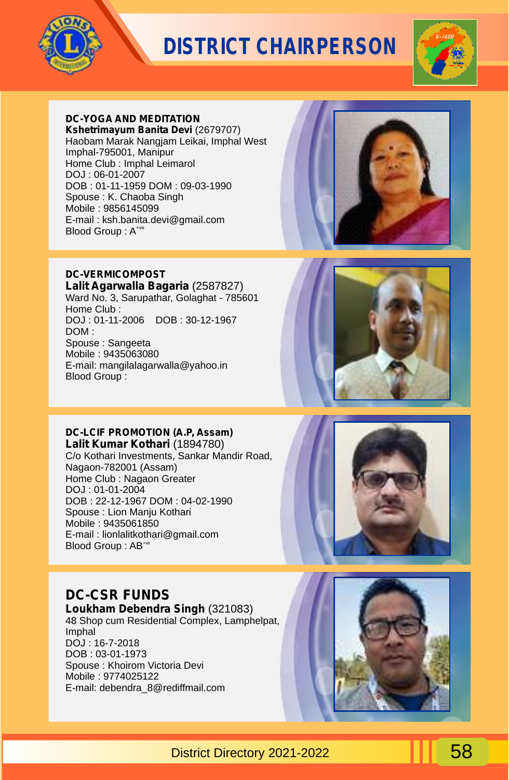



#### **DC-YOGA AND MEDITATION**

**Kshetrimayum Banita Devi** (2679707) Haobam Marak Nangjam Leikai, Imphal West Imphal-795001, Manipur Home Club : Imphal Leimarol DOJ : 06-01-2007 DOB : 01-11-1959 DOM : 09-03-1990 Spouse : K. Chaoba Singh Mobile : 9856145099 E-mail : ksh.banita.devi@gmail.com Blood Group : A<sup>+ve</sup>



#### **DC-VERMICOMPOST**

**Lalit Agarwalla Bagaria** (2587827) Ward No. 3, Sarupathar, Golaghat - 785601 Home Club : DOJ : 01-11-2006 DOB : 30-12-1967 DOM : Spouse : Sangeeta Mobile : 9435063080 E-mail: mangilalagarwalla@yahoo.in Blood Group :



#### **DC-LCIF PROMOTION (A.P, Assam)**

**Lalit Kumar Kothari** (1894780) C/o Kothari Investments, Sankar Mandir Road, Nagaon-782001 (Assam) Home Club : Nagaon Greater DOJ : 01-01-2004 DOB : 22-12-1967 DOM : 04-02-1990 Spouse : Lion Manju Kothari Mobile : 9435061850 E-mail : lionlalitkothari@gmail.com Blood Group : AB<sup>+ve</sup>



### **DC-CSR FUNDS**

**Loukham Debendra Singh** (321083) 48 Shop cum Residential Complex, Lamphelpat, Imphal DOJ : 16-7-2018 DOB : 03-01-1973 Spouse : Khoirom Victoria Devi Mobile : 9774025122 E-mail: debendra\_8@rediffmail.com

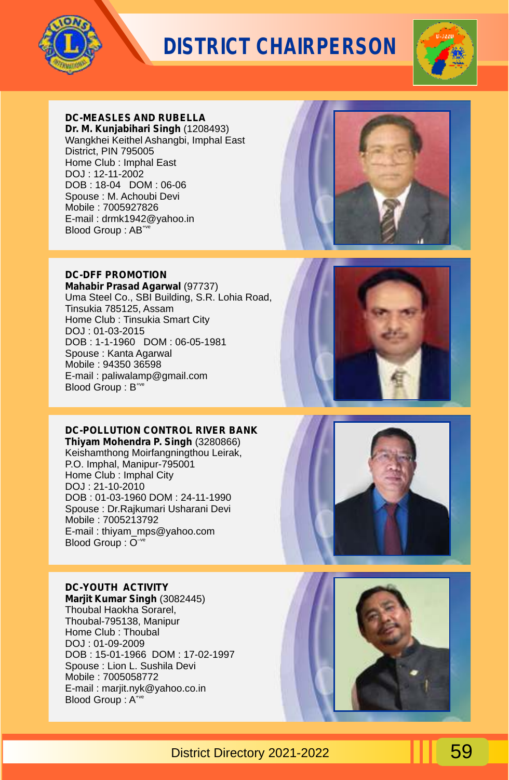



#### **DC-MEASLES AND RUBELLA**

**Dr. M. Kunjabihari Singh** (1208493) Wangkhei Keithel Ashangbi, Imphal East District, PIN 795005 Home Club : Imphal East DOJ : 12-11-2002 DOB : 18-04 DOM : 06-06 Spouse : M. Achoubi Devi Mobile : 7005927826 E-mail : drmk1942@yahoo.in Blood Group : AB<sup>+ve</sup>



#### **DC-DFF PROMOTION**

**Mahabir Prasad Agarwal** (97737) Uma Steel Co., SBI Building, S.R. Lohia Road, Tinsukia 785125, Assam Home Club : Tinsukia Smart City DOJ : 01-03-2015 DOB : 1-1-1960 DOM : 06-05-1981 Spouse : Kanta Agarwal Mobile : 94350 36598 E-mail : paliwalamp@gmail.com Blood Group :  $B^{+ve}$ 

#### **DC-POLLUTION CONTROL RIVER BANK**

**Thiyam Mohendra P. Singh** (3280866) Keishamthong Moirfangningthou Leirak, P.O. Imphal, Manipur-795001 Home Club : Imphal City DOJ : 21-10-2010 DOB : 01-03-1960 DOM : 24-11-1990 Spouse : Dr.Rajkumari Usharani Devi Mobile : 7005213792 E-mail : thiyam\_mps@yahoo.com Blood Group : O<sup>-ve</sup>

#### **DC-YOUTH ACTIVITY**

**Marjit Kumar Singh** (3082445) Thoubal Haokha Sorarel, Thoubal-795138, Manipur Home Club : Thoubal DOJ : 01-09-2009 DOB : 15-01-1966 DOM : 17-02-1997 Spouse : Lion L. Sushila Devi Mobile : 7005058772 E-mail : marjit.nyk@yahoo.co.in Blood Group: A<sup>+ve</sup>





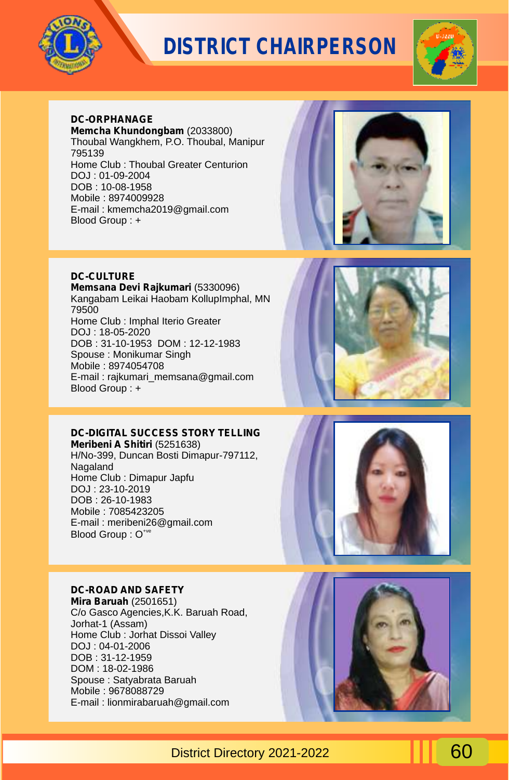



### **DC-ORPHANAGE**

**Memcha Khundongbam** (2033800) Thoubal Wangkhem, P.O. Thoubal, Manipur 795139 Home Club : Thoubal Greater Centurion DOJ : 01-09-2004 DOB : 10-08-1958 Mobile : 8974009928 E-mail : kmemcha2019@gmail.com Blood Group : +



#### **DC-CULTURE**

**Memsana Devi Rajkumari** (5330096) Kangabam Leikai Haobam KollupImphal, MN 79500 Home Club : Imphal Iterio Greater DOJ : 18-05-2020 DOB : 31-10-1953 DOM : 12-12-1983 Spouse : Monikumar Singh Mobile : 8974054708 E-mail : rajkumari\_memsana@gmail.com Blood Group : +



#### **DC-DIGITAL SUCCESS STORY TELLING**

**Meribeni A Shitiri** (5251638) H/No-399, Duncan Bosti Dimapur-797112, Nagaland Home Club : Dimapur Japfu DOJ : 23-10-2019 DOB : 26-10-1983 Mobile : 7085423205 E-mail : meribeni26@gmail.com Blood Group : O<sup>+ve</sup>

#### **DC-ROAD AND SAFETY**

**Mira Baruah** (2501651) C/o Gasco Agencies,K.K. Baruah Road, Jorhat-1 (Assam) Home Club : Jorhat Dissoi Valley DOJ : 04-01-2006 DOB : 31-12-1959 DOM : 18-02-1986 Spouse : Satyabrata Baruah Mobile : 9678088729 E-mail : lionmirabaruah@gmail.com

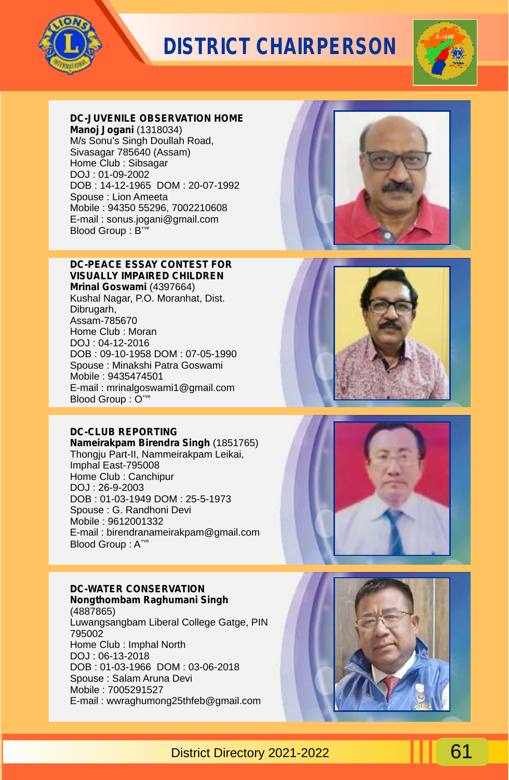



#### **DC-JUVENILE OBSERVATION HOME**

**Manoj Jogani** (1318034) M/s Sonu's Singh Doullah Road, Sivasagar 785640 (Assam) Home Club : Sibsagar DOJ : 01-09-2002 DOB : 14-12-1965 DOM : 20-07-1992 Spouse : Lion Ameeta Mobile : 94350 55296, 7002210608 E-mail : sonus.jogani@gmail.com Blood Group :  $B^{*\n}$ 



#### **DC-PEACE ESSAY CONTEST FOR VISUALLY IMPAIRED CHILDREN Mrinal Goswami** (4397664) Kushal Nagar, P.O. Moranhat, Dist.

Dibrugarh, Assam-785670 Home Club : Moran DOJ : 04-12-2016 DOB : 09-10-1958 DOM : 07-05-1990 Spouse : Minakshi Patra Goswami Mobile : 9435474501 E-mail : mrinalgoswami1@gmail.com Blood Group :  $O^{+ve}$ 

#### **DC-CLUB REPORTING**

**Nameirakpam Birendra Singh** (1851765) Thongju Part-II, Nammeirakpam Leikai, Imphal East-795008 Home Club : Canchipur DOJ : 26-9-2003 DOB : 01-03-1949 DOM : 25-5-1973 Spouse : G. Randhoni Devi Mobile : 9612001332 E-mail : birendranameirakpam@gmail.com Blood Group: A<sup>+ve</sup>

#### **DC-WATER CONSERVATION Nongthombam Raghumani Singh**

(4887865) Luwangsangbam Liberal College Gatge, PIN 795002 Home Club : Imphal North DOJ : 06-13-2018 DOB : 01-03-1966 DOM : 03-06-2018 Spouse : Salam Aruna Devi Mobile : 7005291527 E-mail : wwraghumong25thfeb@gmail.com





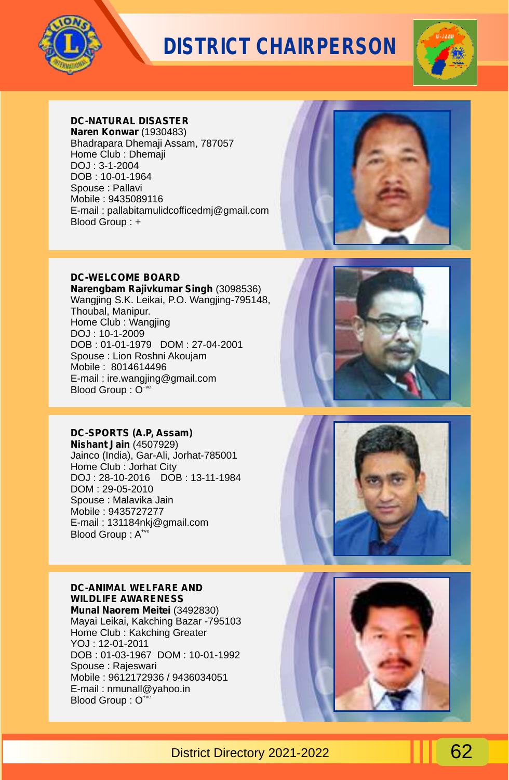



### **DC-NATURAL DISASTER**

**Naren Konwar** (1930483) Bhadrapara Dhemaji Assam, 787057 Home Club : Dhemaji DOJ : 3-1-2004 DOB : 10-01-1964 Spouse : Pallavi Mobile : 9435089116 E-mail : pallabitamulidcofficedmj@gmail.com Blood Group : +



#### **DC-WELCOME BOARD**

**Narengbam Rajivkumar Singh** (3098536) Wangjing S.K. Leikai, P.O. Wangjing-795148, Thoubal, Manipur. Home Club : Wangjing DOJ : 10-1-2009 DOB : 01-01-1979 DOM : 27-04-2001 Spouse : Lion Roshni Akoujam Mobile : 8014614496 E-mail : ire.wangjing@gmail.com Blood Group :  $O^{\neg v}$ 

#### **DC-SPORTS (A.P, Assam)**

**Nishant Jain** (4507929) Jainco (India), Gar-Ali, Jorhat-785001 Home Club : Jorhat City DOJ : 28-10-2016 DOB : 13-11-1984 DOM : 29-05-2010 Spouse : Malavika Jain Mobile : 9435727277 E-mail : 131184nkj@gmail.com Blood Group: A<sup>+ve</sup>

#### **DC-ANIMAL WELFARE AND WILDLIFE AWARENESS**

**Munal Naorem Meitei** (3492830) Mayai Leikai, Kakching Bazar -795103 Home Club : Kakching Greater YOJ : 12-01-2011 DOB : 01-03-1967 DOM : 10-01-1992 Spouse : Rajeswari Mobile : 9612172936 / 9436034051 E-mail : nmunall@yahoo.in Blood Group : O<sup>+ve</sup>





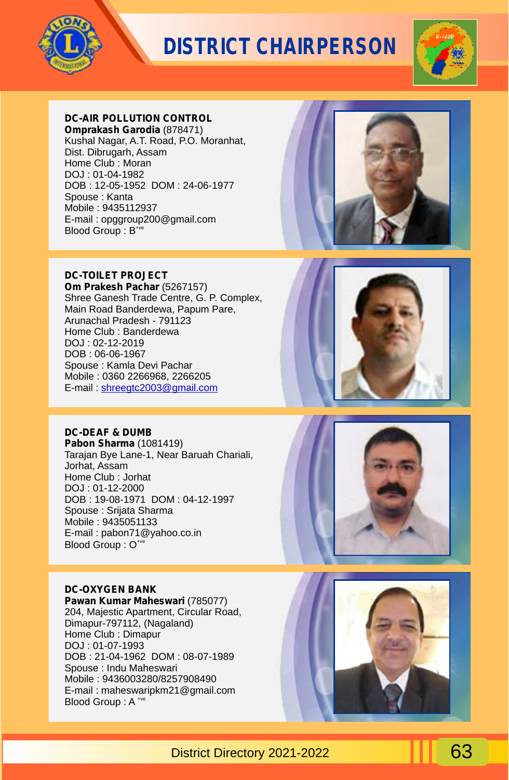



#### **DC-AIR POLLUTION CONTROL**

**Omprakash Garodia** (878471) Kushal Nagar, A.T. Road, P.O. Moranhat, Dist. Dibrugarh, Assam Home Club : Moran DOJ : 01-04-1982 DOB : 12-05-1952 DOM : 24-06-1977 Spouse : Kanta Mobile : 9435112937 E-mail : opggroup200@gmail.com  $B$ lood Group :  $B^{\text{true}}$ 



#### **DC-TOILET PROJECT**

**Om Prakesh Pachar** (5267157) Shree Ganesh Trade Centre, G. P. Complex, Main Road Banderdewa, Papum Pare, Arunachal Pradesh - 791123 Home Club : Banderdewa DOJ : 02-12-2019 DOB : 06-06-1967 Spouse : Kamla Devi Pachar Mobile : 0360 2266968, 2266205 E-mail: [shreegtc2003@gmail.com](mailto:shreegtc2003@gmail.com)

#### **DC-DEAF & DUMB**

**Pabon Sharma** (1081419) Tarajan Bye Lane-1, Near Baruah Chariali, Jorhat, Assam Home Club : Jorhat DOJ : 01-12-2000 DOB : 19-08-1971 DOM : 04-12-1997 Spouse : Srijata Sharma Mobile : 9435051133 E-mail : pabon71@yahoo.co.in Blood Group : O<sup>+ve</sup>

#### **DC-OXYGEN BANK**

**Pawan Kumar Maheswari** (785077) 204, Majestic Apartment, Circular Road, Dimapur-797112, (Nagaland) Home Club : Dimapur DOJ : 01-07-1993 DOB : 21-04-1962 DOM : 08-07-1989 Spouse : Indu Maheswari Mobile : 9436003280/8257908490 E-mail : maheswaripkm21@gmail.com Blood Group: A \*ve



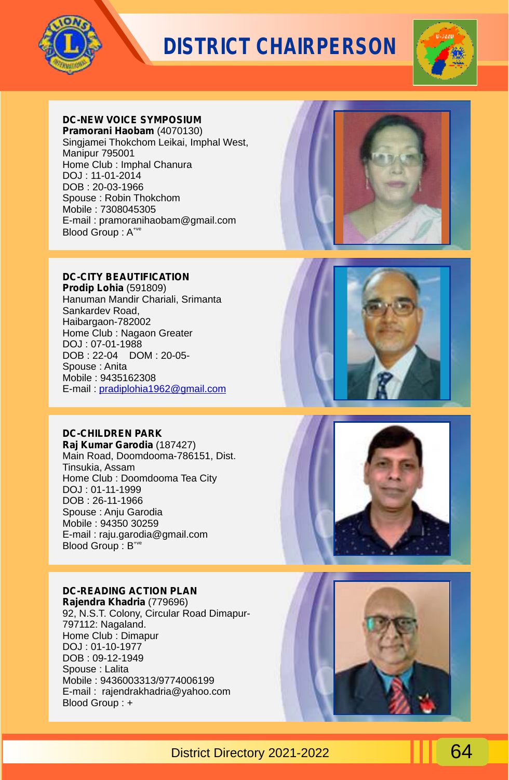



### **DC-NEW VOICE SYMPOSIUM**

**Pramorani Haobam** (4070130) Singjamei Thokchom Leikai, Imphal West, Manipur 795001 Home Club : Imphal Chanura DOJ : 11-01-2014 DOB : 20-03-1966 Spouse : Robin Thokchom Mobile : 7308045305 E-mail : pramoranihaobam@gmail.com Blood Group: A<sup>+ve</sup>

#### **DC-CITY BEAUTIFICATION**

**Prodip Lohia** (591809) Hanuman Mandir Chariali, Srimanta Sankardev Road, Haibargaon-782002 Home Club : Nagaon Greater DOJ : 07-01-1988 DOB : 22-04 DOM : 20-05- Spouse : Anita Mobile : 9435162308 E-mail : [pradiplohia1962@gmail.com](mailto:pradiplohia1962@gmail.com)

#### **DC-CHILDREN PARK**

**Raj Kumar Garodia** (187427) Main Road, Doomdooma-786151, Dist. Tinsukia, Assam Home Club : Doomdooma Tea City DOJ : 01-11-1999 DOB : 26-11-1966 Spouse : Anju Garodia Mobile : 94350 30259 E-mail : raju.garodia@gmail.com Blood Group: B<sup>+ve</sup>

### **DC-READING ACTION PLAN**

**Rajendra Khadria** (779696) 92, N.S.T. Colony, Circular Road Dimapur-797112: Nagaland. Home Club : Dimapur DOJ : 01-10-1977 DOB : 09-12-1949 Spouse : Lalita Mobile : 9436003313/9774006199 E-mail : rajendrakhadria@yahoo.com Blood Group : +







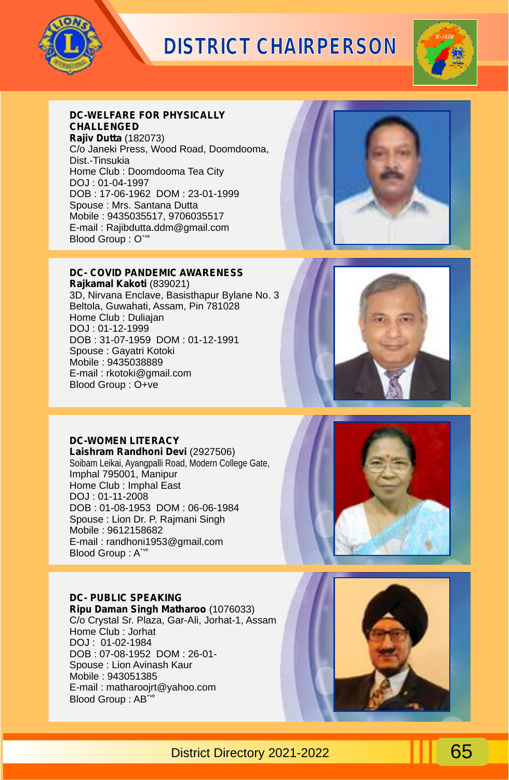



#### **DC-WELFARE FOR PHYSICALLY CHALLENGED**

**Rajiv Dutta** (182073) C/o Janeki Press, Wood Road, Doomdooma, Dist.-Tinsukia Home Club : Doomdooma Tea City DOJ : 01-04-1997 DOB : 17-06-1962 DOM : 23-01-1999 Spouse : Mrs. Santana Dutta Mobile : 9435035517, 9706035517 E-mail : Rajibdutta.ddm@gmail.com Blood Group :  $O^*$ 



#### **DC- COVID PANDEMIC AWARENESS**

**Rajkamal Kakoti** (839021) 3D, Nirvana Enclave, Basisthapur Bylane No. 3 Beltola, Guwahati, Assam, Pin 781028 Home Club : Duliajan DOJ : 01-12-1999 DOB : 31-07-1959 DOM : 01-12-1991 Spouse : Gayatri Kotoki Mobile : 9435038889 E-mail : rkotoki@gmail.com Blood Group : O+ve



#### **DC-WOMEN LITERACY**

**Laishram Randhoni Devi** (2927506) Soibam Leikai, Ayangpalli Road, Modern College Gate, Imphal 795001, Manipur Home Club : Imphal East DOJ : 01-11-2008 DOB : 01-08-1953 DOM : 06-06-1984 Spouse : Lion Dr. P. Rajmani Singh Mobile : 9612158682 E-mail : randhoni1953@gmail.com Blood Group: A<sup>+ve</sup>

#### **DC- PUBLIC SPEAKING**

**Ripu Daman Singh Matharoo** (1076033) C/o Crystal Sr. Plaza, Gar-Ali, Jorhat-1, Assam Home Club : Jorhat DOJ : 01-02-1984 DOB : 07-08-1952 DOM : 26-01- Spouse : Lion Avinash Kaur Mobile : 943051385 E-mail : matharoojrt@yahoo.com Blood Group : AB<sup>+ve</sup>



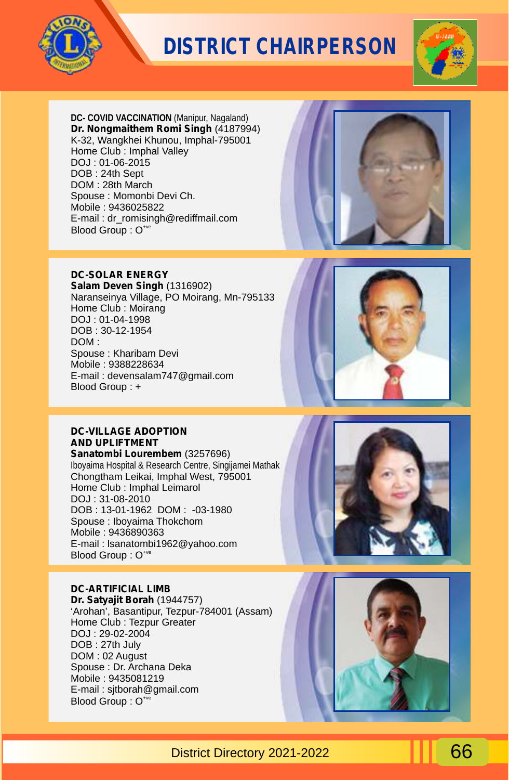



**DC- COVID VACCINATION** (Manipur, Nagaland) **Dr. Nongmaithem Romi Singh** (4187994) K-32, Wangkhei Khunou, Imphal-795001 Home Club : Imphal Valley DOJ : 01-06-2015 DOB : 24th Sept DOM : 28th March Spouse : Momonbi Devi Ch. Mobile : 9436025822 E-mail : dr\_romisingh@rediffmail.com Blood Group : O<sup>+ve</sup>



#### **DC-SOLAR ENERGY**

**Salam Deven Singh** (1316902) Naranseinya Village, PO Moirang, Mn-795133 Home Club : Moirang DOJ : 01-04-1998 DOB : 30-12-1954 DOM : Spouse : Kharibam Devi Mobile : 9388228634 E-mail : devensalam747@gmail.com Blood Group : +



#### **DC-VILLAGE ADOPTION AND UPLIFTMENT**

**Sanatombi Lourembem** (3257696) Iboyaima Hospital & Research Centre, Singijamei Mathak Chongtham Leikai, Imphal West, 795001 Home Club : Imphal Leimarol DOJ : 31-08-2010 DOB : 13-01-1962 DOM : -03-1980 Spouse : Iboyaima Thokchom Mobile : 9436890363 E-mail : lsanatombi1962@yahoo.com Blood Group : O<sup>+ve</sup>

### **DC-ARTIFICIAL LIMB**

**Dr. Satyajit Borah** (1944757) 'Arohan', Basantipur, Tezpur-784001 (Assam) Home Club : Tezpur Greater DOJ : 29-02-2004 DOB : 27th July DOM : 02 August Spouse : Dr. Archana Deka Mobile : 9435081219 E-mail : sjtborah@gmail.com Blood Group : O<sup>+ve</sup>



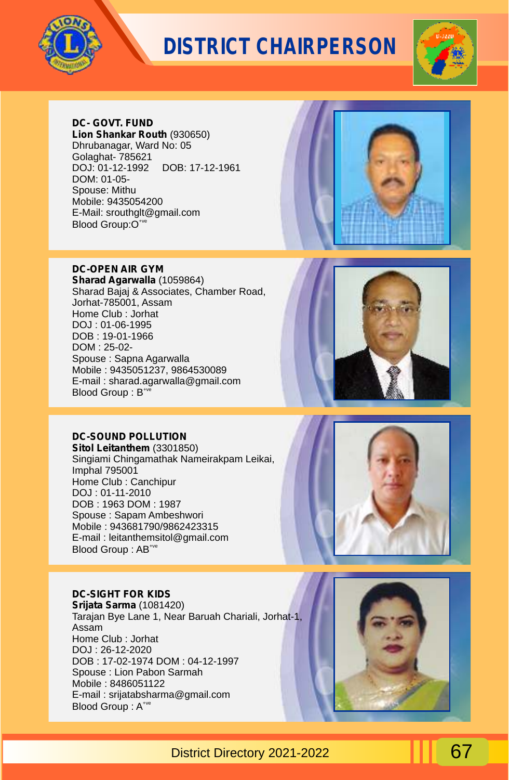



#### **DC- GOVT. FUND**

**Lion Shankar Routh** (930650) Dhrubanagar, Ward No: 05 Golaghat- 785621 DOJ: 01-12-1992 DOB: 17-12-1961 DOM: 01-05- Spouse: Mithu Mobile: 9435054200 E-Mail: srouthglt@gmail.com Blood Group: O<sup>+ve</sup>

#### **DC-OPEN AIR GYM**

**Sharad Agarwalla** (1059864) Sharad Bajaj & Associates, Chamber Road, Jorhat-785001, Assam Home Club : Jorhat DOJ : 01-06-1995 DOB : 19-01-1966 DOM : 25-02- Spouse : Sapna Agarwalla Mobile : 9435051237, 9864530089 E-mail : sharad.agarwalla@gmail.com  $B$ lood Group :  $B^*$ 

#### **DC-SOUND POLLUTION**

**Sitol Leitanthem** (3301850) Singiami Chingamathak Nameirakpam Leikai, Imphal 795001 Home Club : Canchipur DOJ : 01-11-2010 DOB : 1963 DOM : 1987 Spouse : Sapam Ambeshwori Mobile : 943681790/9862423315 E-mail : leitanthemsitol@gmail.com Blood Group : AB<sup>+ve</sup>

#### **DC-SIGHT FOR KIDS**

**Srijata Sarma** (1081420) Tarajan Bye Lane 1, Near Baruah Chariali, Jorhat-1, Assam Home Club : Jorhat DOJ : 26-12-2020 DOB : 17-02-1974 DOM : 04-12-1997 Spouse : Lion Pabon Sarmah Mobile : 8486051122 E-mail : srijatabsharma@gmail.com Blood Group : A<sup>+ve</sup>







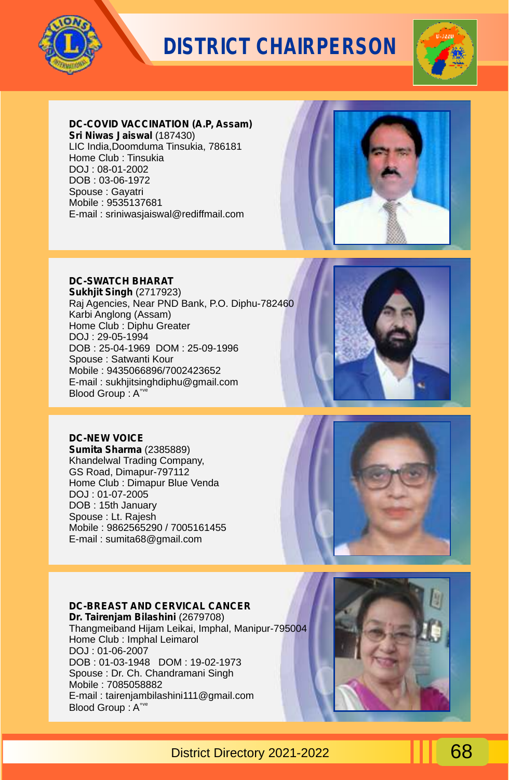



#### **DC-COVID VACCINATION (A.P, Assam)**

**Sri Niwas Jaiswal** (187430) LIC India,Doomduma Tinsukia, 786181 Home Club : Tinsukia DOJ : 08-01-2002 DOB : 03-06-1972 Spouse : Gayatri Mobile : 9535137681 E-mail : sriniwasjaiswal@rediffmail.com



### **DC-SWATCH BHARAT**

**Sukhjit Singh** (2717923) Raj Agencies, Near PND Bank, P.O. Diphu-782460 Karbi Anglong (Assam) Home Club : Diphu Greater DOJ : 29-05-1994 DOB : 25-04-1969 DOM : 25-09-1996 Spouse : Satwanti Kour Mobile : 9435066896/7002423652 E-mail : sukhjitsinghdiphu@gmail.com Blood Group: A<sup>+ve</sup>



#### **DC-NEW VOICE**

**Sumita Sharma** (2385889) Khandelwal Trading Company, GS Road, Dimapur-797112 Home Club : Dimapur Blue Venda DOJ : 01-07-2005 DOB : 15th January Spouse : Lt. Rajesh Mobile : 9862565290 / 7005161455 E-mail : sumita68@gmail.com



#### **DC-BREAST AND CERVICAL CANCER**

**Dr. Tairenjam Bilashini** (2679708) Thangmeiband Hijam Leikai, Imphal, Manipur-795004 Home Club : Imphal Leimarol DOJ : 01-06-2007 DOB : 01-03-1948 DOM : 19-02-1973 Spouse : Dr. Ch. Chandramani Singh Mobile : 7085058882 E-mail : tairenjambilashini111@gmail.com Blood Group : A<sup>+ve</sup>

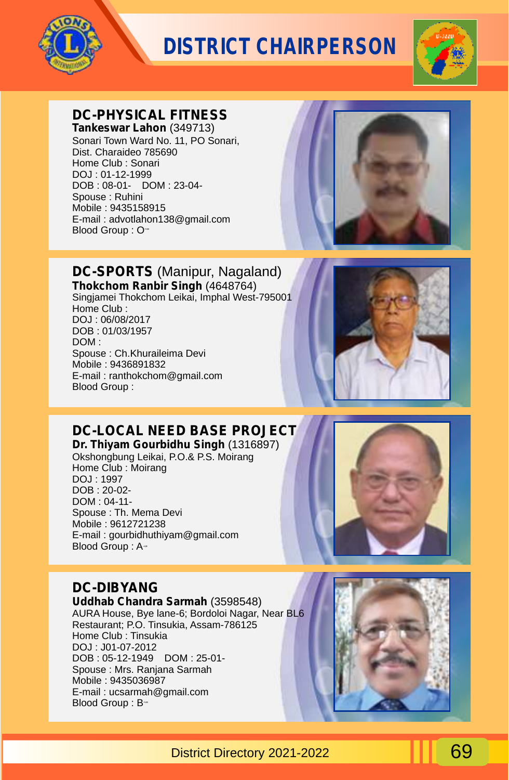



#### **DC-PHYSICAL FITNESS Tankeswar Lahon** (349713)

Sonari Town Ward No. 11, PO Sonari, Dist. Charaideo 785690 Home Club : Sonari DOJ : 01-12-1999 DOB : 08-01- DOM : 23-04- Spouse : Ruhini Mobile : 9435158915 E-mail : advotlahon138@gmail.com Blood Group : O<sup>-1</sup>



### **DC-SPORTS** (Manipur, Nagaland)

**Thokchom Ranbir Singh** (4648764) Singjamei Thokchom Leikai, Imphal West-795001 Home Club : DOJ : 06/08/2017 DOB : 01/03/1957 DOM : Spouse : Ch.Khuraileima Devi Mobile : 9436891832 E-mail : ranthokchom@gmail.com Blood Group :



## **DC-LOCAL NEED BASE PROJECT**

**Dr. Thiyam Gourbidhu Singh** (1316897) Okshongbung Leikai, P.O.& P.S. Moirang Home Club : Moirang DOJ : 1997 DOB : 20-02- DOM : 04-11- Spouse : Th. Mema Devi Mobile : 9612721238 E-mail : gourbidhuthiyam@gmail.com Blood Group : A-



## **DC-DIBYANG**

**Uddhab Chandra Sarmah** (3598548) AURA House, Bye lane-6; Bordoloi Nagar, Near BL6 Restaurant; P.O. Tinsukia, Assam-786125 Home Club : Tinsukia DOJ : J01-07-2012 DOB : 05-12-1949 DOM : 25-01- Spouse : Mrs. Ranjana Sarmah Mobile : 9435036987 E-mail : ucsarmah@gmail.com Blood Group: B<sup>++</sup>

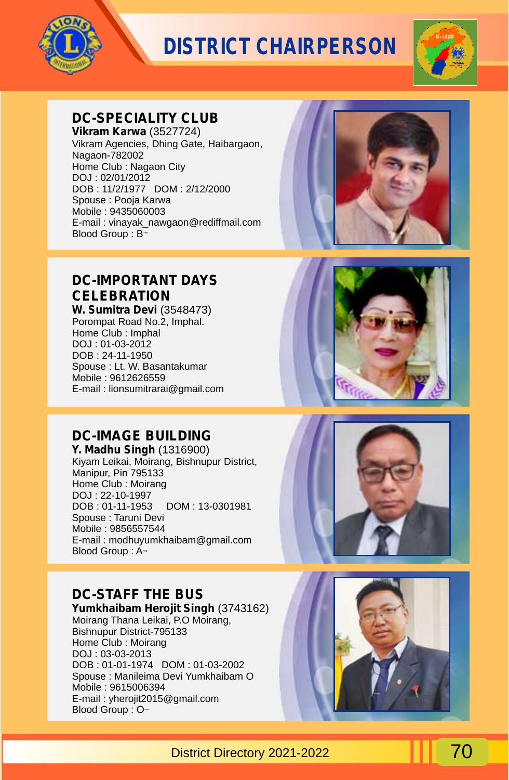



### **DC-SPECIALITY CLUB**

**Vikram Karwa** (3527724) Vikram Agencies, Dhing Gate, Haibargaon, Nagaon-782002 Home Club : Nagaon City DOJ : 02/01/2012 DOB : 11/2/1977 DOM : 2/12/2000 Spouse : Pooja Karwa Mobile : 9435060003 E-mail : vinayak\_nawgaon@rediffmail.com Blood Group :  $B^{\text{w}}$ 



## **DC-IMPORTANT DAYS CELEBRATION**

**W. Sumitra Devi** (3548473) Porompat Road No.2, Imphal. Home Club : Imphal DOJ : 01-03-2012 DOB : 24-11-1950 Spouse : Lt. W. Basantakumar Mobile : 9612626559 E-mail : lionsumitrarai@gmail.com

### **DC-IMAGE BUILDING**

**Y. Madhu Singh** (1316900) Kiyam Leikai, Moirang, Bishnupur District, Manipur, Pin 795133 Home Club : Moirang DOJ : 22-10-1997 DOB : 01-11-1953 DOM : 13-0301981 Spouse : Taruni Devi Mobile : 9856557544 E-mail : modhuyumkhaibam@gmail.com Blood Group: A<sup>-1</sup>

### **DC-STAFF THE BUS**

**Yumkhaibam Herojit Singh** (3743162) Moirang Thana Leikai, P.O Moirang, Bishnupur District-795133 Home Club : Moirang DOJ : 03-03-2013 DOB : 01-01-1974 DOM : 01-03-2002 Spouse : Manileima Devi Yumkhaibam O Mobile : 9615006394 E-mail : yherojit2015@gmail.com Blood Group : O-